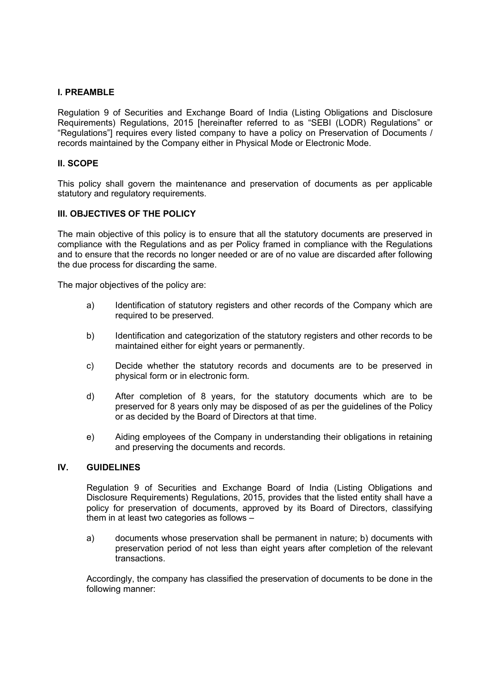## **I. PREAMBLE**

Regulation 9 of Securities and Exchange Board of India (Listing Obligations and Disclosure Requirements) Regulations, 2015 [hereinafter referred to as "SEBI (LODR) Regulations" or "Regulations"] requires every listed company to have a policy on Preservation of Documents / records maintained by the Company either in Physical Mode or Electronic Mode.

## **II. SCOPE**

This policy shall govern the maintenance and preservation of documents as per applicable statutory and regulatory requirements.

## **III. OBJECTIVES OF THE POLICY**

The main objective of this policy is to ensure that all the statutory documents are preserved in compliance with the Regulations and as per Policy framed in compliance with the Regulations and to ensure that the records no longer needed or are of no value are discarded after following the due process for discarding the same.

The major objectives of the policy are:

- a) Identification of statutory registers and other records of the Company which are required to be preserved.
- b) Identification and categorization of the statutory registers and other records to be maintained either for eight years or permanently.
- c) Decide whether the statutory records and documents are to be preserved in physical form or in electronic form.
- d) After completion of 8 years, for the statutory documents which are to be preserved for 8 years only may be disposed of as per the guidelines of the Policy or as decided by the Board of Directors at that time.
- e) Aiding employees of the Company in understanding their obligations in retaining and preserving the documents and records.

### **IV. GUIDELINES**

Regulation 9 of Securities and Exchange Board of India (Listing Obligations and Disclosure Requirements) Regulations, 2015, provides that the listed entity shall have a policy for preservation of documents, approved by its Board of Directors, classifying them in at least two categories as follows –

a) documents whose preservation shall be permanent in nature; b) documents with preservation period of not less than eight years after completion of the relevant transactions.

Accordingly, the company has classified the preservation of documents to be done in the following manner: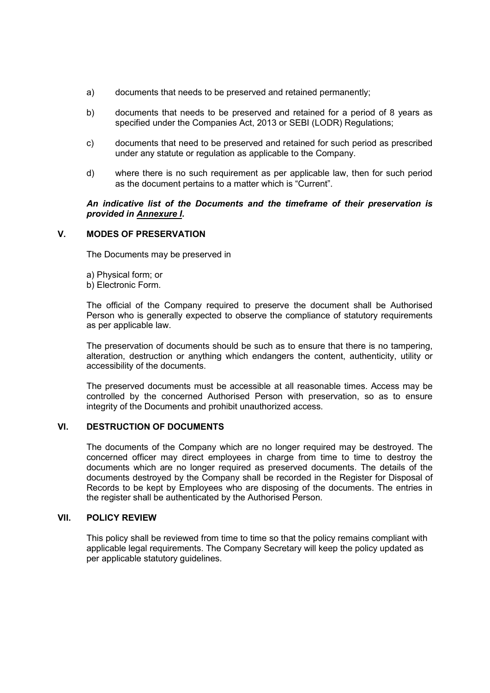- a) documents that needs to be preserved and retained permanently;
- b) documents that needs to be preserved and retained for a period of 8 years as specified under the Companies Act, 2013 or SEBI (LODR) Regulations;
- c) documents that need to be preserved and retained for such period as prescribed under any statute or regulation as applicable to the Company.
- d) where there is no such requirement as per applicable law, then for such period as the document pertains to a matter which is "Current".

*An indicative list of the Documents and the timeframe of their preservation is provided in Annexure I.* 

### **V. MODES OF PRESERVATION**

The Documents may be preserved in

- a) Physical form; or
- b) Electronic Form.

The official of the Company required to preserve the document shall be Authorised Person who is generally expected to observe the compliance of statutory requirements as per applicable law.

The preservation of documents should be such as to ensure that there is no tampering, alteration, destruction or anything which endangers the content, authenticity, utility or accessibility of the documents.

The preserved documents must be accessible at all reasonable times. Access may be controlled by the concerned Authorised Person with preservation, so as to ensure integrity of the Documents and prohibit unauthorized access.

### **VI. DESTRUCTION OF DOCUMENTS**

The documents of the Company which are no longer required may be destroyed. The concerned officer may direct employees in charge from time to time to destroy the documents which are no longer required as preserved documents. The details of the documents destroyed by the Company shall be recorded in the Register for Disposal of Records to be kept by Employees who are disposing of the documents. The entries in the register shall be authenticated by the Authorised Person.

#### **VII. POLICY REVIEW**

This policy shall be reviewed from time to time so that the policy remains compliant with applicable legal requirements. The Company Secretary will keep the policy updated as per applicable statutory guidelines.